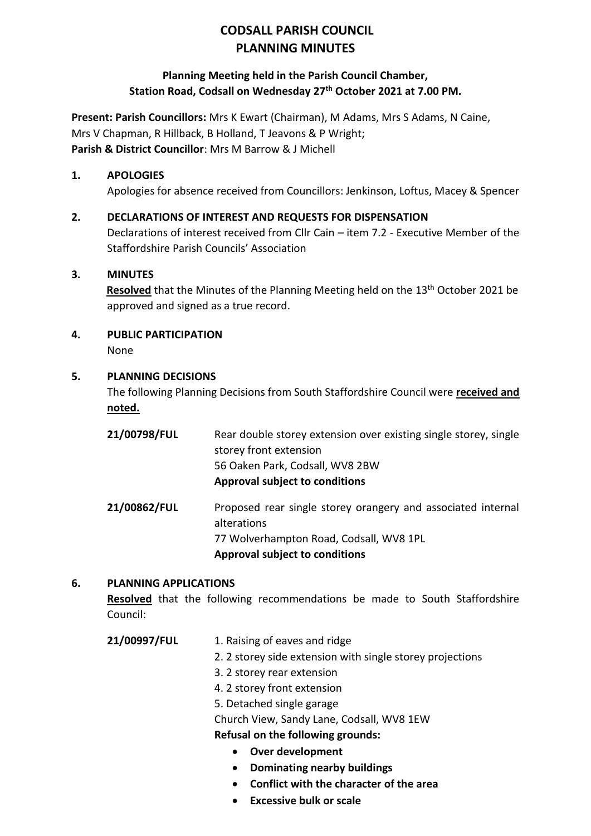# **CODSALL PARISH COUNCIL PLANNING MINUTES**

# **Planning Meeting held in the Parish Council Chamber, Station Road, Codsall on Wednesday 27th October 2021 at 7.00 PM.**

**Present: Parish Councillors:** Mrs K Ewart (Chairman), M Adams, Mrs S Adams, N Caine, Mrs V Chapman, R Hillback, B Holland, T Jeavons & P Wright; **Parish & District Councillor**: Mrs M Barrow & J Michell

### **1. APOLOGIES**

Apologies for absence received from Councillors: Jenkinson, Loftus, Macey & Spencer

### **2. DECLARATIONS OF INTEREST AND REQUESTS FOR DISPENSATION**

Declarations of interest received from Cllr Cain – item 7.2 - Executive Member of the Staffordshire Parish Councils' Association

### **3. MINUTES**

**Resolved** that the Minutes of the Planning Meeting held on the 13<sup>th</sup> October 2021 be approved and signed as a true record.

# **4. PUBLIC PARTICIPATION**

None

# **5. PLANNING DECISIONS**

The following Planning Decisions from South Staffordshire Council were **received and noted.**

| 21/00798/FUL | Rear double storey extension over existing single storey, single<br>storey front extension<br>56 Oaken Park, Codsall, WV8 2BW<br><b>Approval subject to conditions</b> |
|--------------|------------------------------------------------------------------------------------------------------------------------------------------------------------------------|
| 21/00862/FUL | Proposed rear single storey orangery and associated internal<br>alterations<br>77 Wolverhampton Road, Codsall, WV8 1PL<br><b>Approval subject to conditions</b>        |

### **6. PLANNING APPLICATIONS**

**Resolved** that the following recommendations be made to South Staffordshire Council:

- 21/00997/FUL 1. Raising of eaves and ridge
	- 2. 2 storey side extension with single storey projections
	- 3. 2 storey rear extension
	- 4. 2 storey front extension
	- 5. Detached single garage

Church View, Sandy Lane, Codsall, WV8 1EW

**Refusal on the following grounds:**

- **Over development**
- **Dominating nearby buildings**
- **Conflict with the character of the area**
- **Excessive bulk or scale**